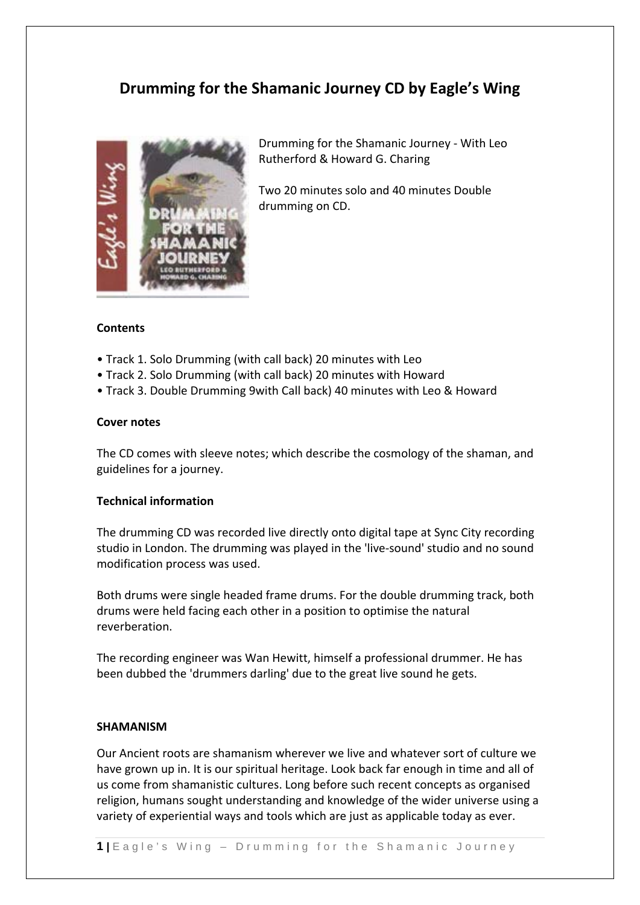# **Drumming for the Shamanic Journey CD by Eagle's Wing**



Drumming for the Shamanic Journey ‐ With Leo Rutherford & Howard G. Charing

Two 20 minutes solo and 40 minutes Double drumming on CD.

## **Contents**

- Track 1. Solo Drumming (with call back) 20 minutes with Leo
- Track 2. Solo Drumming (with call back) 20 minutes with Howard
- Track 3. Double Drumming 9with Call back) 40 minutes with Leo & Howard

## **Cover notes**

The CD comes with sleeve notes; which describe the cosmology of the shaman, and guidelines for a journey.

## **Technical information**

The drumming CD was recorded live directly onto digital tape at Sync City recording studio in London. The drumming was played in the 'live‐sound' studio and no sound modification process was used.

Both drums were single headed frame drums. For the double drumming track, both drums were held facing each other in a position to optimise the natural reverberation.

The recording engineer was Wan Hewitt, himself a professional drummer. He has been dubbed the 'drummers darling' due to the great live sound he gets.

#### **SHAMANISM**

Our Ancient roots are shamanism wherever we live and whatever sort of culture we have grown up in. It is our spiritual heritage. Look back far enough in time and all of us come from shamanistic cultures. Long before such recent concepts as organised religion, humans sought understanding and knowledge of the wider universe using a variety of experiential ways and tools which are just as applicable today as ever.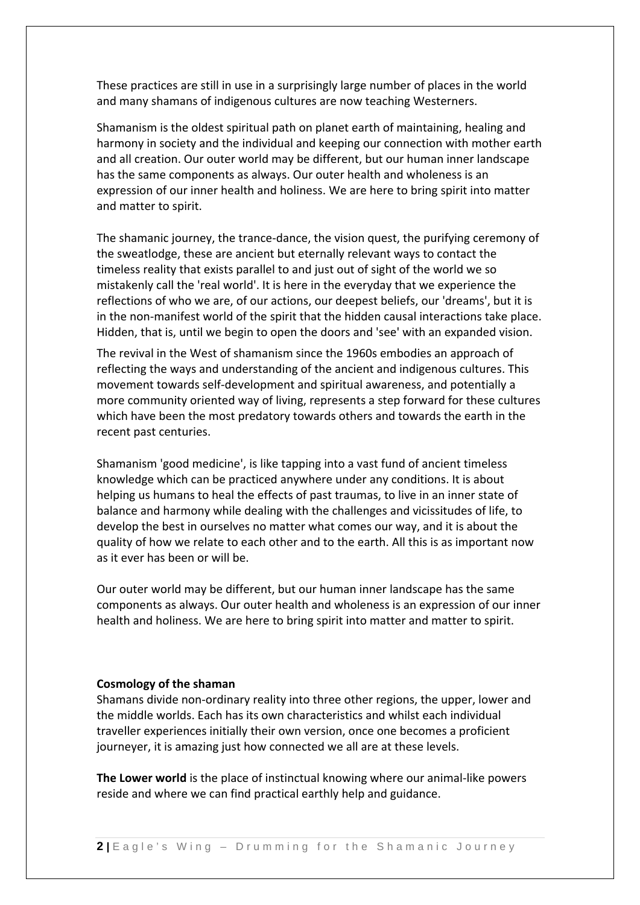These practices are still in use in a surprisingly large number of places in the world and many shamans of indigenous cultures are now teaching Westerners.

Shamanism is the oldest spiritual path on planet earth of maintaining, healing and harmony in society and the individual and keeping our connection with mother earth and all creation. Our outer world may be different, but our human inner landscape has the same components as always. Our outer health and wholeness is an expression of our inner health and holiness. We are here to bring spirit into matter and matter to spirit.

The shamanic journey, the trance‐dance, the vision quest, the purifying ceremony of the sweatlodge, these are ancient but eternally relevant ways to contact the timeless reality that exists parallel to and just out of sight of the world we so mistakenly call the 'real world'. It is here in the everyday that we experience the reflections of who we are, of our actions, our deepest beliefs, our 'dreams', but it is in the non‐manifest world of the spirit that the hidden causal interactions take place. Hidden, that is, until we begin to open the doors and 'see' with an expanded vision.

The revival in the West of shamanism since the 1960s embodies an approach of reflecting the ways and understanding of the ancient and indigenous cultures. This movement towards self‐development and spiritual awareness, and potentially a more community oriented way of living, represents a step forward for these cultures which have been the most predatory towards others and towards the earth in the recent past centuries.

Shamanism 'good medicine', is like tapping into a vast fund of ancient timeless knowledge which can be practiced anywhere under any conditions. It is about helping us humans to heal the effects of past traumas, to live in an inner state of balance and harmony while dealing with the challenges and vicissitudes of life, to develop the best in ourselves no matter what comes our way, and it is about the quality of how we relate to each other and to the earth. All this is as important now as it ever has been or will be.

Our outer world may be different, but our human inner landscape has the same components as always. Our outer health and wholeness is an expression of our inner health and holiness. We are here to bring spirit into matter and matter to spirit.

#### **Cosmology of the shaman**

Shamans divide non‐ordinary reality into three other regions, the upper, lower and the middle worlds. Each has its own characteristics and whilst each individual traveller experiences initially their own version, once one becomes a proficient journeyer, it is amazing just how connected we all are at these levels.

**The Lower world** is the place of instinctual knowing where our animal‐like powers reside and where we can find practical earthly help and guidance.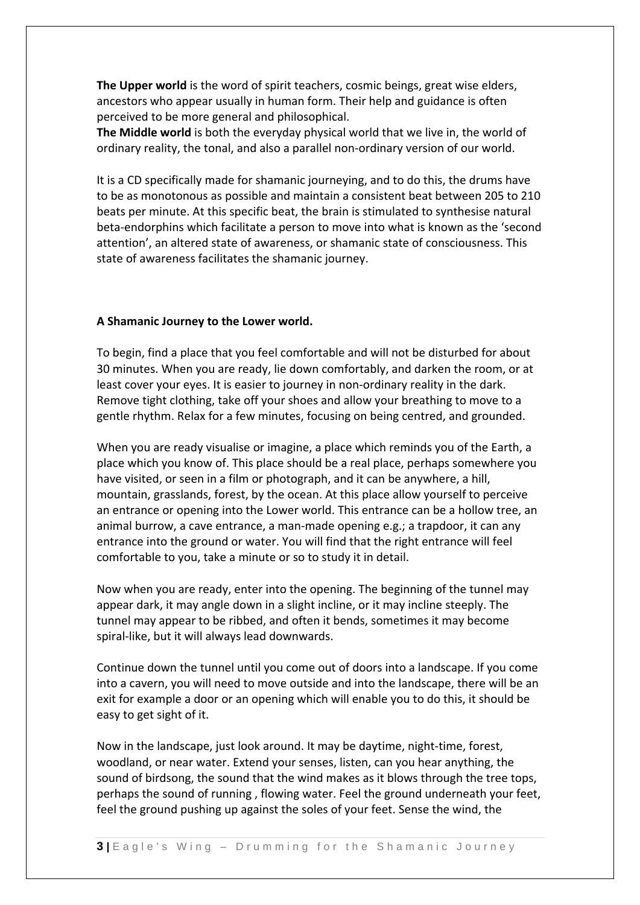**The Upper world** is the word of spirit teachers, cosmic beings, great wise elders, ancestors who appear usually in human form. Their help and guidance is often perceived to be more general and philosophical.

**The Middle world** is both the everyday physical world that we live in, the world of ordinary reality, the tonal, and also a parallel non‐ordinary version of our world.

It is a CD specifically made for shamanic journeying, and to do this, the drums have to be as monotonous as possible and maintain a consistent beat between 205 to 210 beats per minute. At this specific beat, the brain is stimulated to synthesise natural beta‐endorphins which facilitate a person to move into what is known as the 'second attention', an altered state of awareness, or shamanic state of consciousness. This state of awareness facilitates the shamanic journey.

## **A Shamanic Journey to the Lower world.**

To begin, find a place that you feel comfortable and will not be disturbed for about 30 minutes. When you are ready, lie down comfortably, and darken the room, or at least cover your eyes. It is easier to journey in non‐ordinary reality in the dark. Remove tight clothing, take off your shoes and allow your breathing to move to a gentle rhythm. Relax for a few minutes, focusing on being centred, and grounded.

When you are ready visualise or imagine, a place which reminds you of the Earth, a place which you know of. This place should be a real place, perhaps somewhere you have visited, or seen in a film or photograph, and it can be anywhere, a hill, mountain, grasslands, forest, by the ocean. At this place allow yourself to perceive an entrance or opening into the Lower world. This entrance can be a hollow tree, an animal burrow, a cave entrance, a man‐made opening e.g.; a trapdoor, it can any entrance into the ground or water. You will find that the right entrance will feel comfortable to you, take a minute or so to study it in detail.

Now when you are ready, enter into the opening. The beginning of the tunnel may appear dark, it may angle down in a slight incline, or it may incline steeply. The tunnel may appear to be ribbed, and often it bends, sometimes it may become spiral‐like, but it will always lead downwards.

Continue down the tunnel until you come out of doors into a landscape. If you come into a cavern, you will need to move outside and into the landscape, there will be an exit for example a door or an opening which will enable you to do this, it should be easy to get sight of it.

Now in the landscape, just look around. It may be daytime, night‐time, forest, woodland, or near water. Extend your senses, listen, can you hear anything, the sound of birdsong, the sound that the wind makes as it blows through the tree tops, perhaps the sound of running , flowing water. Feel the ground underneath your feet, feel the ground pushing up against the soles of your feet. Sense the wind, the